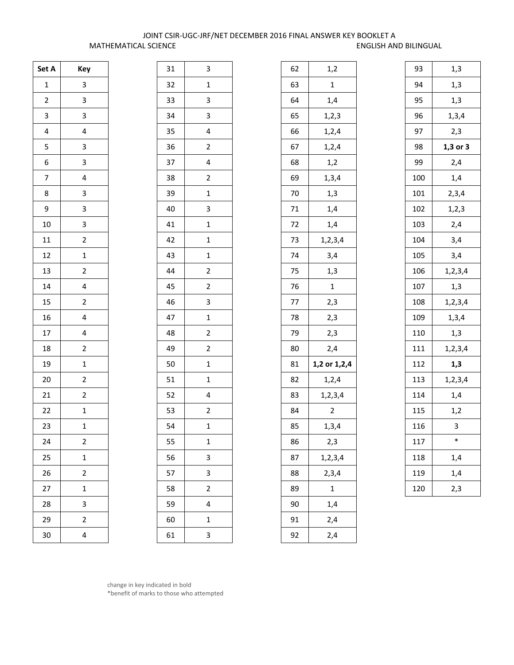## JOINT CSIR-UGC-JRF/NET DECEMBER 2016 FINAL ANSWER KEY BOOKLET A MATHEMATICAL SCIENCE ENGLISH AND BILINGUAL

| Set A                   | Key                     |
|-------------------------|-------------------------|
| $\mathbf{1}$            | 3                       |
| $\overline{c}$          | 3                       |
| 3                       | 3                       |
| $\overline{\mathbf{r}}$ | 4                       |
| 5                       | 3                       |
| 6                       | 3                       |
| 7                       | 4                       |
| 8                       | 3                       |
| 9                       | 3                       |
| 10                      | 3                       |
| 11                      | $\overline{2}$          |
| 12                      | $\mathbf{1}$            |
| 13                      | $\overline{2}$          |
| 14                      | 4                       |
| 15                      | $\overline{c}$          |
| 16                      | 4                       |
| 17                      | 4                       |
| 18                      | $\overline{c}$          |
| 19                      | $\mathbf{1}$            |
| 20                      | $\overline{\mathbf{c}}$ |
| 21                      | $\overline{\mathbf{c}}$ |
| 22                      | $\mathbf{1}$            |
| 23                      | $\mathbf{1}$            |
| 24                      | $\overline{c}$          |
| 25                      | $\mathbf{1}$            |
| 26                      | $\overline{\mathbf{c}}$ |
| 27                      | $\mathbf{1}$            |
| 28                      | 3                       |
| 29                      | $\overline{\mathbf{c}}$ |
| 30                      | 4                       |

| 31 | 3                       |
|----|-------------------------|
| 32 | $\mathbf 1$             |
| 33 | 3                       |
| 34 | 3                       |
| 35 | 4                       |
| 36 | $\overline{c}$          |
| 37 | 4                       |
| 38 | $\overline{\mathbf{c}}$ |
| 39 | $\mathbf 1$             |
| 40 | 3                       |
| 41 | $\mathbf 1$             |
| 42 | $\mathbf 1$             |
| 43 | $\overline{1}$          |
| 44 | $\overline{2}$          |
| 45 | $\overline{c}$          |
| 46 | 3                       |
| 47 | $\mathbf{1}$            |
| 48 | $\overline{\mathbf{c}}$ |
| 49 | $\overline{c}$          |
| 50 | $\mathbf 1$             |
| 51 | $\mathbf 1$             |
| 52 | 4                       |
| 53 | $\overline{\mathbf{c}}$ |
| 54 | $\mathbf{1}$            |
| 55 | $\mathbf{1}$            |
| 56 | 3                       |
| 57 | 3                       |
| 58 | $\overline{\mathbf{c}}$ |
| 59 | 4                       |
| 60 | $\mathbf{1}$            |
| 61 | 3                       |

| 93  | 1,3          |
|-----|--------------|
| 94  | 1,3          |
| 95  | 1,3          |
| 96  | 1, 3, 4      |
| 97  | 2,3          |
| 98  | $1,3$ or $3$ |
| 99  | 2,4          |
| 100 | 1,4          |
| 101 | 2,3,4        |
| 102 | 1, 2, 3      |
| 103 | 2,4          |
| 104 | 3,4          |
| 105 | 3,4          |
| 106 | 1, 2, 3, 4   |
| 107 | 1,3          |
| 108 | 1, 2, 3, 4   |
| 109 | 1,3,4        |
| 110 | 1,3          |
| 111 | 1,2,3,4      |
| 112 | 1,3          |
| 113 | 1, 2, 3, 4   |
| 114 | 1,4          |
| 115 | 1,2          |
| 116 | 3            |
| 117 | $\ast$       |
| 118 | 1,4          |
| 119 | 1,4          |
| 120 | 2,3          |
|     |              |

change in key indicated in bold \*benefit of marks to those who attempted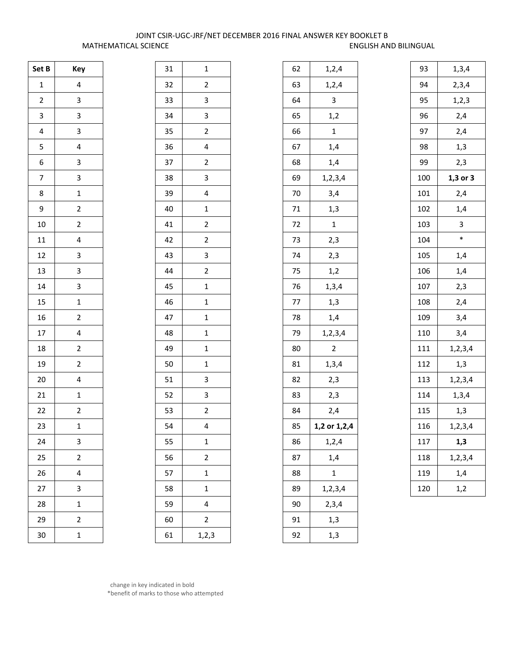## JOINT CSIR-UGC-JRF/NET DECEMBER 2016 FINAL ANSWER KEY BOOKLET B MATHEMATICAL SCIENCE **ENGLISH AND BILINGUAL**

| Set B                   | Key                     |
|-------------------------|-------------------------|
| $\mathbf{1}$            | 4                       |
| $\overline{\mathbf{c}}$ | 3                       |
| 3                       | 3                       |
| 4                       | 3                       |
| 5                       | 4                       |
| 6                       | 3                       |
| 7                       | 3                       |
| 8                       | $\mathbf{1}$            |
| 9                       | $\overline{\mathbf{c}}$ |
| 10                      | $\overline{2}$          |
| 11                      | 4                       |
| 12                      | 3                       |
| 13                      | 3                       |
| 14                      | 3                       |
| 15                      | $\mathbf{1}$            |
| 16                      | $\overline{c}$          |
| 17                      | 4                       |
| 18                      | $\overline{\mathbf{c}}$ |
| 19                      | $\overline{\mathbf{c}}$ |
| 20                      | 4                       |
| 21                      | $\mathbf{1}$            |
| 22                      | $\overline{c}$          |
| 23                      | $\mathbf{1}$            |
| 24                      | 3                       |
| 25                      | $\overline{\mathbf{c}}$ |
| 26                      | 4                       |
| 27                      | 3                       |
| 28                      | $\mathbf{1}$            |
| 29                      | 2                       |
| 30                      | $\mathbf{1}$            |

| 31 | $\mathbf{1}$            |
|----|-------------------------|
| 32 | $\overline{c}$          |
| 33 | 3                       |
| 34 | 3                       |
| 35 | $\overline{c}$          |
| 36 | 4                       |
| 37 | $\overline{\mathbf{c}}$ |
| 38 | 3                       |
| 39 | 4                       |
| 40 | $\mathbf{1}$            |
| 41 | $\overline{c}$          |
| 42 | $\overline{2}$          |
| 43 | 3                       |
| 44 | $\overline{2}$          |
| 45 | $\mathbf{1}$            |
| 46 | $\mathbf{1}$            |
| 47 | $\mathbf{1}$            |
| 48 | $\mathbf{1}$            |
| 49 | $\mathbf{1}$            |
| 50 | $\mathbf{1}$            |
| 51 | 3                       |
| 52 | 3                       |
| 53 | $\overline{2}$          |
| 54 | 4                       |
| 55 | $\mathbf{1}$            |
| 56 | $\overline{\mathbf{c}}$ |
| 57 | $\mathbf{1}$            |
| 58 | $\mathbf{1}$            |
| 59 | 4                       |
| 60 | $\overline{c}$          |
| 61 | 1, 2, 3                 |

| 62 | 1,2,4          |
|----|----------------|
| 63 | 1, 2, 4        |
| 64 | 3              |
| 65 | 1,2            |
| 66 | 1              |
| 67 | 1,4            |
| 68 | 1,4            |
| 69 | 1,2,3,4        |
| 70 | 3,4            |
| 71 | 1,3            |
| 72 | $\mathbf{1}$   |
| 73 | 2,3            |
| 74 | 2,3            |
| 75 | 1,2            |
| 76 | 1, 3, 4        |
| 77 | 1,3            |
| 78 | 1,4            |
| 79 | 1,2,3,4        |
| 80 | $\overline{c}$ |
| 81 | 1, 3, 4        |
| 82 | 2,3            |
| 83 | 2,3            |
| 84 | 2,4            |
| 85 | 1,2 or 1,2,4   |
| 86 | 1, 2, 4        |
| 87 | 1,4            |
| 88 | 1              |
| 89 | 1,2,3,4        |
| 90 | 2,3,4          |
| 91 | 1,3            |
| 92 | 1,3            |

| 93  | 1, 3, 4      |
|-----|--------------|
| 94  | 2,3,4        |
| 95  | 1, 2, 3      |
| 96  | 2,4          |
| 97  | 2,4          |
| 98  | 1,3          |
| 99  | 2,3          |
| 100 | $1,3$ or $3$ |
| 101 | 2,4          |
| 102 | 1,4          |
| 103 | 3            |
| 104 | *            |
| 105 | 1,4          |
| 106 | 1,4          |
| 107 | 2,3          |
| 108 | 2,4          |
| 109 | 3,4          |
| 110 | 3,4          |
| 111 | 1, 2, 3, 4   |
| 112 | 1,3          |
| 113 | 1,2,3,4      |
| 114 | 1, 3, 4      |
| 115 | 1,3          |
| 116 | 1,2,3,4      |
| 117 | 1,3          |
| 118 | 1, 2, 3, 4   |
| 119 | 1,4          |
| 120 | 1,2          |

 change in key indicated in bold \*benefit of marks to those who attempted